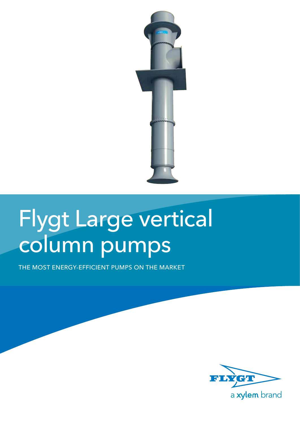

# Flygt Large vertical column pumps

The most energy-efficient pumps on the market

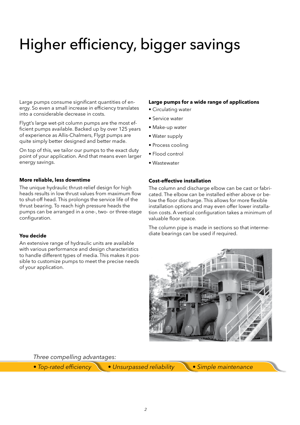## Higher efficiency, bigger savings

Large pumps consume significant quantities of energy. So even a small increase in efficiency translates into a considerable decrease in costs.

Flygt's large wet-pit column pumps are the most efficient pumps available. Backed up by over 125 years of experience as Allis-Chalmers, Flygt pumps are quite simply better designed and better made.

On top of this, we tailor our pumps to the exact duty point of your application. And that means even larger energy savings.

#### **More reliable, less downtime**

The unique hydraulic thrust-relief design for high heads results in low thrust values from maximum flow to shut-off head. This prolongs the service life of the thrust bearing. To reach high pressure heads the pumps can be arranged in a one-, two- or three-stage configuration.

#### **You decide**

An extensive range of hydraulic units are available with various performance and design characteristics to handle different types of media. This makes it possible to customize pumps to meet the precise needs of your application.

#### **Large pumps for a wide range of applications**

- Circulating water
- Service water
- Make-up water
- Water supply
- Process cooling
- Flood control
- Wastewater

#### **Cost-effective installation**

The column and discharge elbow can be cast or fabricated. The elbow can be installed either above or below the floor discharge. This allows for more flexible installation options and may even offer lower installation costs. A vertical configuration takes a minimum of valuable floor space.

The column pipe is made in sections so that intermediate bearings can be used if required.



*Three compelling advantages:*

• Top-rated efficiency • Unsurpassed reliability • Simple maintenance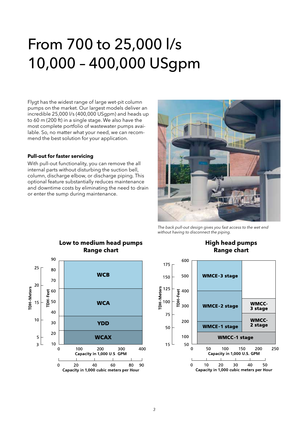### From 700 to 25,000 l/s 10,000 – 400,000 USgpm

Flygt has the widest range of large wet-pit column pumps on the market. Our largest models deliver an incredible 25,000 l/s (400,000 USgpm) and heads up to 60 m (200 ft) in a single stage. We also have the most complete portfolio of wastewater pumps available. So, no matter what your need, we can recommend the best solution for your application.

#### **Pull-out for faster servicing**

With pull-out functionality, you can remove the all internal parts without disturbing the suction bell, column, discharge elbow, or discharge piping. This optional feature substantially reduces maintenance and downtime costs by eliminating the need to drain or enter the sump during maintenance.



The back pull-out design gives you fast access to the wet end without having to disconnect the piping.

**High head pumps**



### **Low to medium head pumps**

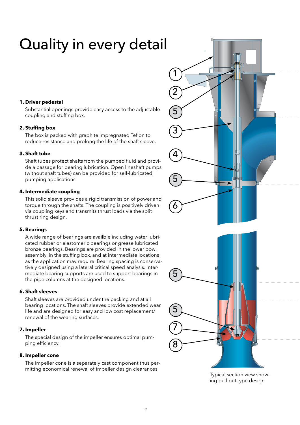## Quality in every detail

#### **1. Driver pedestal**

Substantial openings provide easy access to the adjustable coupling and stuffing box.

#### **2. Stuffing box**

The box is packed with graphite impregnated Teflon to reduce resistance and prolong the life of the shaft sleeve.

#### **3. Shaft tube**

Shaft tubes protect shafts from the pumped fluid and provide a passage for bearing lubrication. Open lineshaft pumps (without shaft tubes) can be provided for self-lubricated pumping applications.

#### **4. Intermediate coupling**

This solid sleeve provides a rigid transmission of power and torque through the shafts. The coupling is positively driven via coupling keys and transmits thrust loads via the split thrust ring design.

#### **5. Bearings**

A wide range of bearings are availble including water lubricated rubber or elastomeric bearings or grease lubricated bronze bearings. Bearings are provided in the lower bowl assembly, in the stuffing box, and at intermediate locations as the application may require. Bearing spacing is conservatively designed using a lateral critical speed analysis. Intermediate bearing supports are used to support bearings in the pipe columns at the designed locations.

#### **6. Shaft sleeves**

Shaft sleeves are provided under the packing and at all bearing locations. The shaft sleeves provide extended wear life and are designed for easy and low cost replacement/ renewal of the wearing surfaces.

#### **7. Impeller**

The special design of the impeller ensures optimal pumping efficiency.

#### **8. Impeller cone**

The impeller cone is a separately cast component thus permitting economical renewal of impeller design clearances.



ing pull-out type design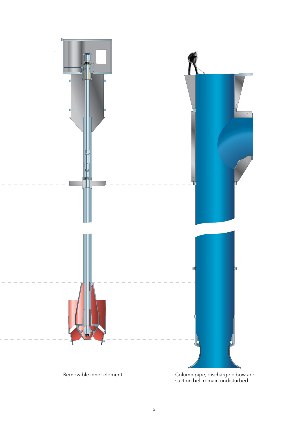

suction bell remain undisturbed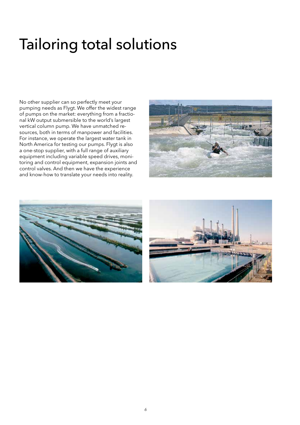### Tailoring total solutions

No other supplier can so perfectly meet your pumping needs as Flygt. We offer the widest range of pumps on the market: everything from a fractional kW output submersible to the world's largest vertical column pump. We have unmatched resources, both in terms of manpower and facilities. For instance, we operate the largest water tank in North America for testing our pumps. Flygt is also a one-stop supplier, with a full range of auxiliary equipment including variable speed drives, monitoring and control equipment, expansion joints and control valves. And then we have the experience and know-how to translate your needs into reality.





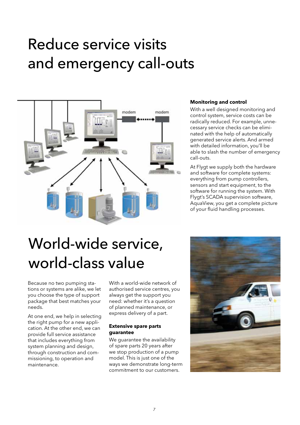### Reduce service visits and emergency call-outs



#### **Monitoring and control**

With a well designed monitoring and control system, service costs can be radically reduced. For example, unnecessary service checks can be eliminated with the help of automatically generated service alerts. And armed with detailed information, you'll be able to slash the number of emergency call-outs.

At Flygt we supply both the hardware and software for complete systems: everything from pump controllers, sensors and start equipment, to the software for running the system. With Flygt's SCADA supervision software, AquaView, you get a complete picture of your fluid handling processes.

## World-wide service, world-class value

Because no two pumping stations or systems are alike, we let you choose the type of support package that best matches your needs.

At one end, we help in selecting the right pump for a new application. At the other end, we can provide full service assistance that includes everything from system planning and design, through construction and commissioning, to operation and maintenance.

With a world-wide network of authorised service centres, you always get the support you need: whether it's a question of planned maintenance, or express delivery of a part.

#### **Extensive spare parts guarantee**

We quarantee the availability of spare parts 20 years after we stop production of a pump model. This is just one of the ways we demonstrate long-term commitment to our customers.